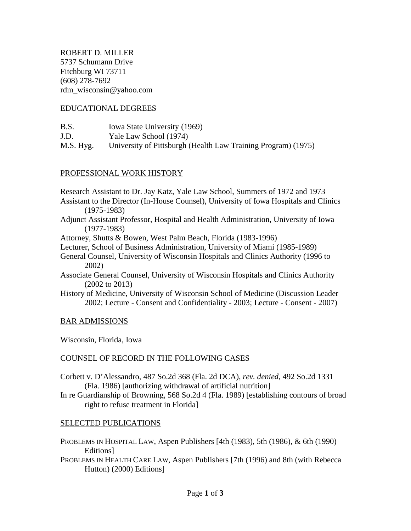ROBERT D. MILLER 5737 Schumann Drive Fitchburg WI 73711 (608) 278-7692 rdm\_wisconsin@yahoo.com

### EDUCATIONAL DEGREES

| B.S. | Iowa State University (1969) |
|------|------------------------------|
|------|------------------------------|

J.D. Yale Law School (1974)

M.S. Hyg. University of Pittsburgh (Health Law Training Program) (1975)

### PROFESSIONAL WORK HISTORY

Research Assistant to Dr. Jay Katz, Yale Law School, Summers of 1972 and 1973

- Assistant to the Director (In-House Counsel), University of Iowa Hospitals and Clinics (1975-1983)
- Adjunct Assistant Professor, Hospital and Health Administration, University of Iowa (1977-1983)
- Attorney, Shutts & Bowen, West Palm Beach, Florida (1983-1996)
- Lecturer, School of Business Administration, University of Miami (1985-1989)
- General Counsel, University of Wisconsin Hospitals and Clinics Authority (1996 to 2002)
- Associate General Counsel, University of Wisconsin Hospitals and Clinics Authority (2002 to 2013)
- History of Medicine, University of Wisconsin School of Medicine (Discussion Leader 2002; Lecture - Consent and Confidentiality - 2003; Lecture - Consent - 2007)

### BAR ADMISSIONS

Wisconsin, Florida, Iowa

### COUNSEL OF RECORD IN THE FOLLOWING CASES

- Corbett v. D'Alessandro, 487 So.2d 368 (Fla. 2d DCA), *rev. denied*, 492 So.2d 1331 (Fla. 1986) [authorizing withdrawal of artificial nutrition]
- In re Guardianship of Browning, 568 So.2d 4 (Fla. 1989) [establishing contours of broad right to refuse treatment in Florida]

### SELECTED PUBLICATIONS

- PROBLEMS IN HOSPITAL LAW, Aspen Publishers [4th (1983), 5th (1986), & 6th (1990) Editions]
- PROBLEMS IN HEALTH CARE LAW, Aspen Publishers [7th (1996) and 8th (with Rebecca Hutton) (2000) Editions]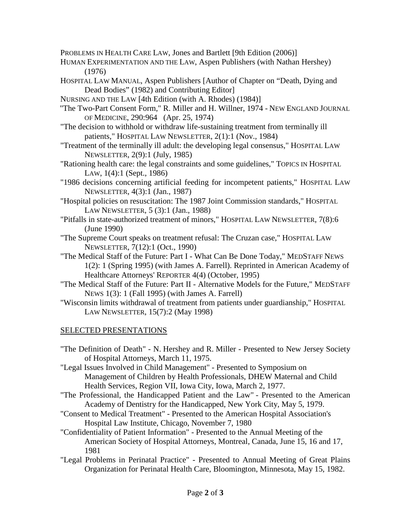PROBLEMS IN HEALTH CARE LAW, Jones and Bartlett [9th Edition (2006)]

- HUMAN EXPERIMENTATION AND THE LAW, Aspen Publishers (with Nathan Hershey) (1976)
- HOSPITAL LAW MANUAL, Aspen Publishers [Author of Chapter on "Death, Dying and Dead Bodies" (1982) and Contributing Editor]
- NURSING AND THE LAW [4th Edition (with A. Rhodes) (1984)]
- "The Two-Part Consent Form," R. Miller and H. Willner, 1974 NEW ENGLAND JOURNAL OF MEDICINE, 290:964 (Apr. 25, 1974)
- "The decision to withhold or withdraw life-sustaining treatment from terminally ill patients," HOSPITAL LAW NEWSLETTER, 2(1):1 (Nov., 1984)
- "Treatment of the terminally ill adult: the developing legal consensus," HOSPITAL LAW NEWSLETTER, 2(9):1 (July, 1985)
- "Rationing health care: the legal constraints and some guidelines," TOPICS IN HOSPITAL LAW, 1(4):1 (Sept., 1986)
- "1986 decisions concerning artificial feeding for incompetent patients," HOSPITAL LAW NEWSLETTER, 4(3):1 (Jan., 1987)
- "Hospital policies on resuscitation: The 1987 Joint Commission standards," HOSPITAL LAW NEWSLETTER, 5 (3):1 (Jan., 1988)
- "Pitfalls in state-authorized treatment of minors," HOSPITAL LAW NEWSLETTER, 7(8):6 (June 1990)
- "The Supreme Court speaks on treatment refusal: The Cruzan case," HOSPITAL LAW NEWSLETTER, 7(12):1 (Oct., 1990)
- "The Medical Staff of the Future: Part I What Can Be Done Today," MEDSTAFF NEWS 1(2): 1 (Spring 1995) (with James A. Farrell). Reprinted in American Academy of Healthcare Attorneys' REPORTER 4(4) (October, 1995)
- "The Medical Staff of the Future: Part II Alternative Models for the Future," MEDSTAFF NEWS 1(3): 1 (Fall 1995) (with James A. Farrell)
- "Wisconsin limits withdrawal of treatment from patients under guardianship," HOSPITAL LAW NEWSLETTER, 15(7):2 (May 1998)

# SELECTED PRESENTATIONS

- "The Definition of Death" N. Hershey and R. Miller Presented to New Jersey Society of Hospital Attorneys, March 11, 1975.
- "Legal Issues Involved in Child Management" Presented to Symposium on Management of Children by Health Professionals, DHEW Maternal and Child Health Services, Region VII, Iowa City, Iowa, March 2, 1977.
- "The Professional, the Handicapped Patient and the Law" Presented to the American Academy of Dentistry for the Handicapped, New York City, May 5, 1979.
- "Consent to Medical Treatment" Presented to the American Hospital Association's Hospital Law Institute, Chicago, November 7, 1980
- "Confidentiality of Patient Information" Presented to the Annual Meeting of the American Society of Hospital Attorneys, Montreal, Canada, June 15, 16 and 17, 1981
- "Legal Problems in Perinatal Practice" Presented to Annual Meeting of Great Plains Organization for Perinatal Health Care, Bloomington, Minnesota, May 15, 1982.